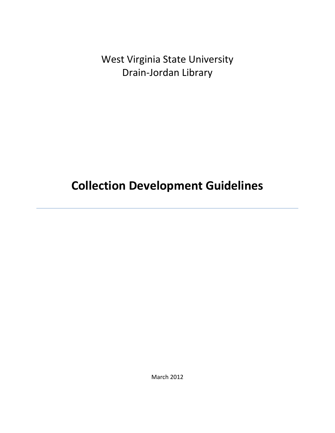West Virginia State University Drain-Jordan Library

**Collection Development Guidelines**

March 2012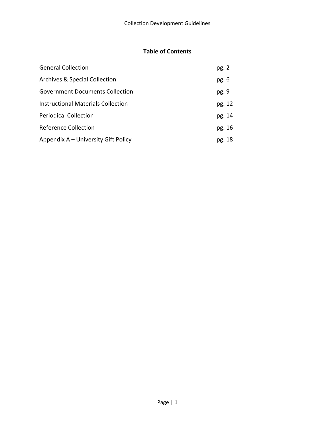#### **Table of Contents**

| <b>General Collection</b>                 | pg. 2  |
|-------------------------------------------|--------|
| <b>Archives &amp; Special Collection</b>  | pg. 6  |
| Government Documents Collection           | pg. 9  |
| <b>Instructional Materials Collection</b> | pg. 12 |
| <b>Periodical Collection</b>              | pg. 14 |
| Reference Collection                      | pg. 16 |
| Appendix A – University Gift Policy       | pg. 18 |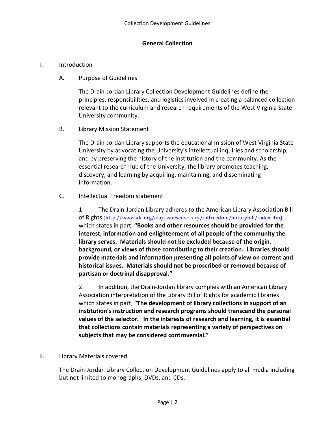#### **General Collection**

#### I. Introduction

A. Purpose of Guidelines

The Drain-Jordan Library Collection Development Guidelines define the principles, responsibilities, and logistics involved in creating a balanced collection relevant to the curriculum and research requirements of the West Virginia State University community.

B. Library Mission Statement

The Drain-Jordan Library supports the educational mission of West Virginia State University by advocating the University's intellectual inquiries and scholarship, and by preserving the history of the institution and the community. As the essential research hub of the University, the library promotes teaching, discovery, and learning by acquiring, maintaining, and disseminating information.

C. Intellectual Freedom statement

1. The Drain-Jordan Library adheres to the American Library Association Bill of Rights (http://www.ala.org/ala/issuesadvocacy/intfreedom/librarybill/index.cfm) which states in part, **"Books and other resources should be provided for the interest, information and enlightenment of all people of the community the library serves. Materials should not be excluded because of the origin, background, or views of those contributing to their creation. Libraries should provide materials and information presenting all points of view on current and historical issues. Materials should not be proscribed or removed because of partisan or doctrinal disapproval."** 

2. In addition, the Drain-Jordan library complies with an American Library Association interpretation of the Library Bill of Rights for academic libraries which states in part, **"The development of library collections in support of an institution's instruction and research programs should transcend the personal values of the selector. In the interests of research and learning, it is essential that collections contain materials representing a variety of perspectives on subjects that may be considered controversial."** 

#### II. Library Materials covered

The Drain-Jordan Library Collection Development Guidelines apply to all media including but not limited to monographs, DVDs, and CDs.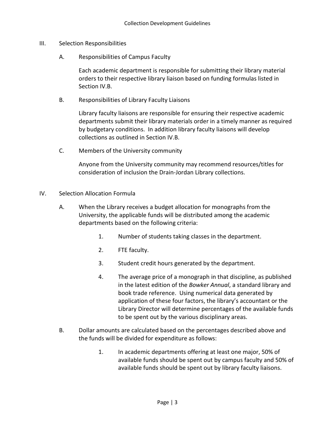- III. Selection Responsibilities
	- A. Responsibilities of Campus Faculty

Each academic department is responsible for submitting their library material orders to their respective library liaison based on funding formulas listed in Section IV.B.

B. Responsibilities of Library Faculty Liaisons

Library faculty liaisons are responsible for ensuring their respective academic departments submit their library materials order in a timely manner as required by budgetary conditions. In addition library faculty liaisons will develop collections as outlined in Section IV.B.

C. Members of the University community

Anyone from the University community may recommend resources/titles for consideration of inclusion the Drain-Jordan Library collections.

- IV. Selection Allocation Formula
	- A. When the Library receives a budget allocation for monographs from the University, the applicable funds will be distributed among the academic departments based on the following criteria:
		- 1. Number of students taking classes in the department.
		- 2. FTE faculty.
		- 3. Student credit hours generated by the department.
		- 4. The average price of a monograph in that discipline, as published in the latest edition of the *Bowker Annual*, a standard library and book trade reference. Using numerical data generated by application of these four factors, the library's accountant or the Library Director will determine percentages of the available funds to be spent out by the various disciplinary areas.
	- B. Dollar amounts are calculated based on the percentages described above and the funds will be divided for expenditure as follows:
		- 1. In academic departments offering at least one major, 50% of available funds should be spent out by campus faculty and 50% of available funds should be spent out by library faculty liaisons.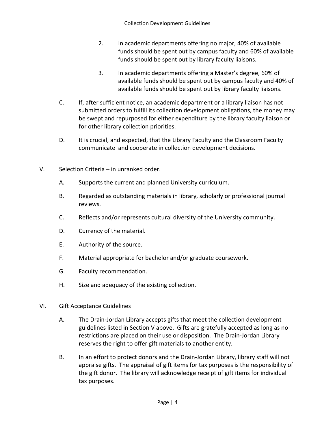- 2. In academic departments offering no major, 40% of available funds should be spent out by campus faculty and 60% of available funds should be spent out by library faculty liaisons.
- 3. In academic departments offering a Master's degree, 60% of available funds should be spent out by campus faculty and 40% of available funds should be spent out by library faculty liaisons.
- C. If, after sufficient notice, an academic department or a library liaison has not submitted orders to fulfill its collection development obligations, the money may be swept and repurposed for either expenditure by the library faculty liaison or for other library collection priorities.
- D. It is crucial, and expected, that the Library Faculty and the Classroom Faculty communicate and cooperate in collection development decisions.
- V. Selection Criteria in unranked order.
	- A. Supports the current and planned University curriculum.
	- B. Regarded as outstanding materials in library, scholarly or professional journal reviews.
	- C. Reflects and/or represents cultural diversity of the University community.
	- D. Currency of the material.
	- E. Authority of the source.
	- F. Material appropriate for bachelor and/or graduate coursework.
	- G. Faculty recommendation.
	- H. Size and adequacy of the existing collection.
- VI. Gift Acceptance Guidelines
	- A. The Drain-Jordan Library accepts gifts that meet the collection development guidelines listed in Section V above. Gifts are gratefully accepted as long as no restrictions are placed on their use or disposition. The Drain-Jordan Library reserves the right to offer gift materials to another entity.
	- B. In an effort to protect donors and the Drain-Jordan Library, library staff will not appraise gifts. The appraisal of gift items for tax purposes is the responsibility of the gift donor. The library will acknowledge receipt of gift items for individual tax purposes.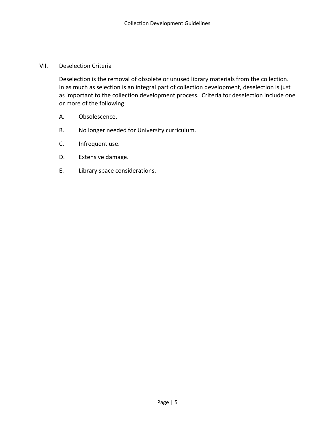#### VII. Deselection Criteria

Deselection is the removal of obsolete or unused library materials from the collection. In as much as selection is an integral part of collection development, deselection is just as important to the collection development process. Criteria for deselection include one or more of the following:

- A. Obsolescence.
- B. No longer needed for University curriculum.
- C. Infrequent use.
- D. Extensive damage.
- E. Library space considerations.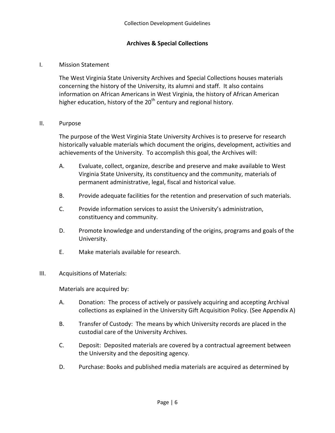#### **Archives & Special Collections**

#### I. Mission Statement

The West Virginia State University Archives and Special Collections houses materials concerning the history of the University, its alumni and staff. It also contains information on African Americans in West Virginia, the history of African American higher education, history of the  $20<sup>th</sup>$  century and regional history.

#### II. Purpose

The purpose of the West Virginia State University Archives is to preserve for research historically valuable materials which document the origins, development, activities and achievements of the University. To accomplish this goal, the Archives will:

- A. Evaluate, collect, organize, describe and preserve and make available to West Virginia State University, its constituency and the community, materials of permanent administrative, legal, fiscal and historical value.
- B. Provide adequate facilities for the retention and preservation of such materials.
- C. Provide information services to assist the University's administration, constituency and community.
- D. Promote knowledge and understanding of the origins, programs and goals of the University.
- E. Make materials available for research.

#### III. Acquisitions of Materials:

Materials are acquired by:

- A. Donation: The process of actively or passively acquiring and accepting Archival collections as explained in the University Gift Acquisition Policy. (See Appendix A)
- B. Transfer of Custody: The means by which University records are placed in the custodial care of the University Archives.
- C. Deposit: Deposited materials are covered by a contractual agreement between the University and the depositing agency.
- D. Purchase: Books and published media materials are acquired as determined by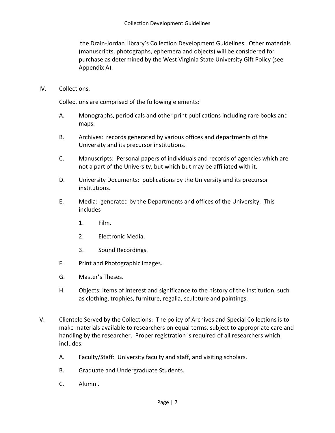the Drain-Jordan Library's Collection Development Guidelines. Other materials (manuscripts, photographs, ephemera and objects) will be considered for purchase as determined by the West Virginia State University Gift Policy (see Appendix A).

IV. Collections.

Collections are comprised of the following elements:

- A. Monographs, periodicals and other print publications including rare books and maps.
- B. Archives: records generated by various offices and departments of the University and its precursor institutions.
- C. Manuscripts: Personal papers of individuals and records of agencies which are not a part of the University, but which but may be affiliated with it.
- D. University Documents: publications by the University and its precursor institutions.
- E. Media: generated by the Departments and offices of the University. This includes
	- 1. Film.
	- 2. Electronic Media.
	- 3. Sound Recordings.
- F. Print and Photographic Images.
- G. Master's Theses.
- H. Objects: items of interest and significance to the history of the Institution, such as clothing, trophies, furniture, regalia, sculpture and paintings.
- V. Clientele Served by the Collections: The policy of Archives and Special Collections is to make materials available to researchers on equal terms, subject to appropriate care and handling by the researcher. Proper registration is required of all researchers which includes:
	- A. Faculty/Staff: University faculty and staff, and visiting scholars.
	- B. Graduate and Undergraduate Students.
	- C. Alumni.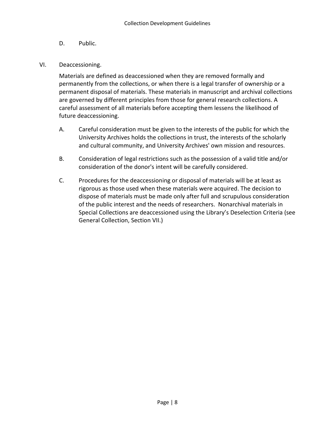- D. Public.
- VI. Deaccessioning.

Materials are defined as deaccessioned when they are removed formally and permanently from the collections, or when there is a legal transfer of ownership or a permanent disposal of materials. These materials in manuscript and archival collections are governed by different principles from those for general research collections. A careful assessment of all materials before accepting them lessens the likelihood of future deaccessioning.

- A. Careful consideration must be given to the interests of the public for which the University Archives holds the collections in trust, the interests of the scholarly and cultural community, and University Archives' own mission and resources.
- B. Consideration of legal restrictions such as the possession of a valid title and/or consideration of the donor's intent will be carefully considered.
- C. Procedures for the deaccessioning or disposal of materials will be at least as rigorous as those used when these materials were acquired. The decision to dispose of materials must be made only after full and scrupulous consideration of the public interest and the needs of researchers. Nonarchival materials in Special Collections are deaccessioned using the Library's Deselection Criteria (see General Collection, Section VII.)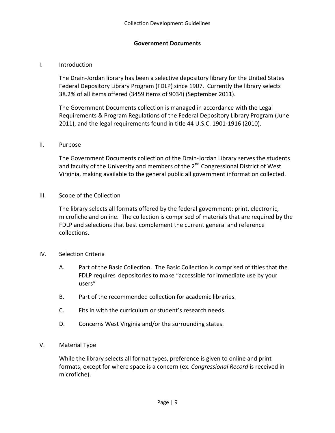#### **Government Documents**

#### I. Introduction

The Drain-Jordan library has been a selective depository library for the United States Federal Depository Library Program (FDLP) since 1907. Currently the library selects 38.2% of all items offered (3459 items of 9034) (September 2011).

The Government Documents collection is managed in accordance with the Legal Requirements & Program Regulations of the Federal Depository Library Program (June 2011), and the legal requirements found in title 44 U.S.C. 1901-1916 (2010).

#### II. Purpose

The Government Documents collection of the Drain-Jordan Library serves the students and faculty of the University and members of the  $2^{nd}$  Congressional District of West Virginia, making available to the general public all government information collected.

III. Scope of the Collection

The library selects all formats offered by the federal government: print, electronic, microfiche and online. The collection is comprised of materials that are required by the FDLP and selections that best complement the current general and reference collections.

- IV. Selection Criteria
	- A. Part of the Basic Collection. The Basic Collection is comprised of titles that the FDLP requires depositories to make "accessible for immediate use by your users"
	- B. Part of the recommended collection for academic libraries.
	- C. Fits in with the curriculum or student's research needs.
	- D. Concerns West Virginia and/or the surrounding states.
- V. Material Type

While the library selects all format types, preference is given to online and print formats, except for where space is a concern (ex. *Congressional Record* is received in microfiche).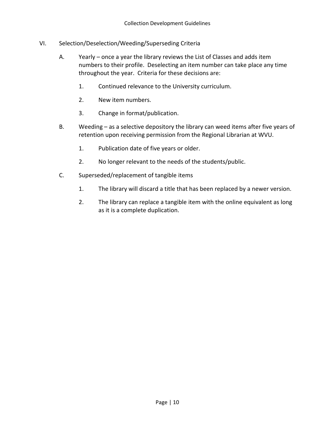- VI. Selection/Deselection/Weeding/Superseding Criteria
	- A. Yearly once a year the library reviews the List of Classes and adds item numbers to their profile. Deselecting an item number can take place any time throughout the year. Criteria for these decisions are:
		- 1. Continued relevance to the University curriculum.
		- 2. New item numbers.
		- 3. Change in format/publication.
	- B. Weeding as a selective depository the library can weed items after five years of retention upon receiving permission from the Regional Librarian at WVU.
		- 1. Publication date of five years or older.
		- 2. No longer relevant to the needs of the students/public.
	- C. Superseded/replacement of tangible items
		- 1. The library will discard a title that has been replaced by a newer version.
		- 2. The library can replace a tangible item with the online equivalent as long as it is a complete duplication.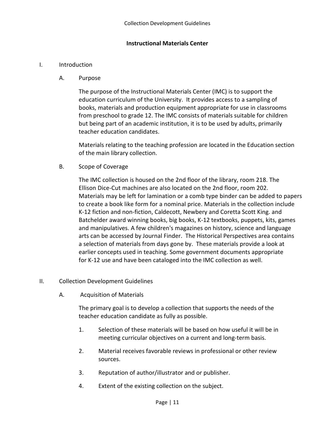#### **Instructional Materials Center**

#### I. Introduction

A. Purpose

The purpose of the Instructional Materials Center (IMC) is to support the education curriculum of the University. It provides access to a sampling of books, materials and production equipment appropriate for use in classrooms from preschool to grade 12. The IMC consists of materials suitable for children but being part of an academic institution, it is to be used by adults, primarily teacher education candidates.

Materials relating to the teaching profession are located in the Education section of the main library collection.

B. Scope of Coverage

The IMC collection is housed on the 2nd floor of the library, room 218. The Ellison Dice-Cut machines are also located on the 2nd floor, room 202. Materials may be left for lamination or a comb type binder can be added to papers to create a book like form for a nominal price. Materials in the collection include K-12 fiction and non-fiction, Caldecott, Newbery and Coretta Scott King. and Batchelder award winning books, big books, K-12 textbooks, puppets, kits, games and manipulatives. A few children's magazines on history, science and language arts can be accessed by Journal Finder. The Historical Perspectives area contains a selection of materials from days gone by. These materials provide a look at earlier concepts used in teaching. Some government documents appropriate for K-12 use and have been cataloged into the IMC collection as well.

- II. Collection Development Guidelines
	- A. Acquisition of Materials

The primary goal is to develop a collection that supports the needs of the teacher education candidate as fully as possible.

- 1. Selection of these materials will be based on how useful it will be in meeting curricular objectives on a current and long-term basis.
- 2. Material receives favorable reviews in professional or other review sources.
- 3. Reputation of author/illustrator and or publisher.
- 4. Extent of the existing collection on the subject.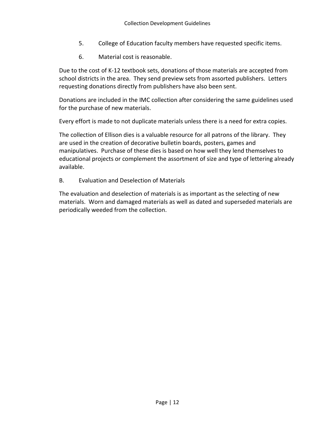- 5. College of Education faculty members have requested specific items.
- 6. Material cost is reasonable.

Due to the cost of K-12 textbook sets, donations of those materials are accepted from school districts in the area. They send preview sets from assorted publishers. Letters requesting donations directly from publishers have also been sent.

Donations are included in the IMC collection after considering the same guidelines used for the purchase of new materials.

Every effort is made to not duplicate materials unless there is a need for extra copies.

The collection of Ellison dies is a valuable resource for all patrons of the library. They are used in the creation of decorative bulletin boards, posters, games and manipulatives. Purchase of these dies is based on how well they lend themselves to educational projects or complement the assortment of size and type of lettering already available.

B. Evaluation and Deselection of Materials

The evaluation and deselection of materials is as important as the selecting of new materials. Worn and damaged materials as well as dated and superseded materials are periodically weeded from the collection.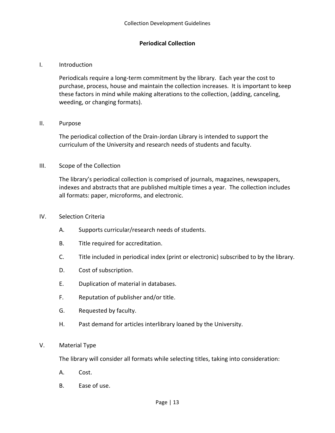#### **Periodical Collection**

#### I. Introduction

Periodicals require a long-term commitment by the library. Each year the cost to purchase, process, house and maintain the collection increases. It is important to keep these factors in mind while making alterations to the collection, (adding, canceling, weeding, or changing formats).

#### II. Purpose

The periodical collection of the Drain-Jordan Library is intended to support the curriculum of the University and research needs of students and faculty.

#### III. Scope of the Collection

The library's periodical collection is comprised of journals, magazines, newspapers, indexes and abstracts that are published multiple times a year. The collection includes all formats: paper, microforms, and electronic.

#### IV. Selection Criteria

- A. Supports curricular/research needs of students.
- B. Title required for accreditation.
- C. Title included in periodical index (print or electronic) subscribed to by the library.
- D. Cost of subscription.
- E. Duplication of material in databases.
- F. Reputation of publisher and/or title.
- G. Requested by faculty.
- H. Past demand for articles interlibrary loaned by the University.

#### V. Material Type

The library will consider all formats while selecting titles, taking into consideration:

- A. Cost.
- B. Ease of use.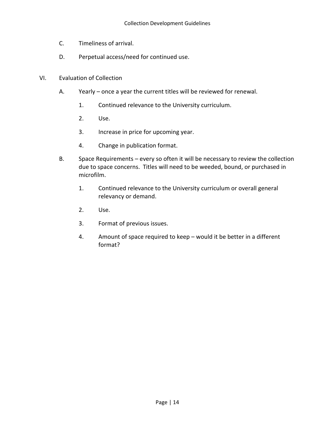- C. Timeliness of arrival.
- D. Perpetual access/need for continued use.
- VI. Evaluation of Collection
	- A. Yearly once a year the current titles will be reviewed for renewal.
		- 1. Continued relevance to the University curriculum.
		- 2. Use.
		- 3. Increase in price for upcoming year.
		- 4. Change in publication format.
	- B. Space Requirements every so often it will be necessary to review the collection due to space concerns. Titles will need to be weeded, bound, or purchased in microfilm.
		- 1. Continued relevance to the University curriculum or overall general relevancy or demand.
		- 2. Use.
		- 3. Format of previous issues.
		- 4. Amount of space required to keep would it be better in a different format?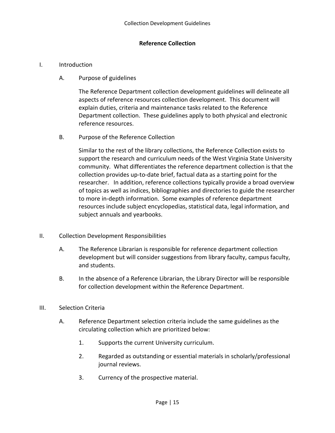#### **Reference Collection**

#### I. Introduction

A. Purpose of guidelines

The Reference Department collection development guidelines will delineate all aspects of reference resources collection development. This document will explain duties, criteria and maintenance tasks related to the Reference Department collection. These guidelines apply to both physical and electronic reference resources.

B. Purpose of the Reference Collection

Similar to the rest of the library collections, the Reference Collection exists to support the research and curriculum needs of the West Virginia State University community. What differentiates the reference department collection is that the collection provides up-to-date brief, factual data as a starting point for the researcher. In addition, reference collections typically provide a broad overview of topics as well as indices, bibliographies and directories to guide the researcher to more in-depth information. Some examples of reference department resources include subject encyclopedias, statistical data, legal information, and subject annuals and yearbooks.

- II. Collection Development Responsibilities
	- A. The Reference Librarian is responsible for reference department collection development but will consider suggestions from library faculty, campus faculty, and students.
	- B. In the absence of a Reference Librarian, the Library Director will be responsible for collection development within the Reference Department.
- III. Selection Criteria
	- A. Reference Department selection criteria include the same guidelines as the circulating collection which are prioritized below:
		- 1. Supports the current University curriculum.
		- 2. Regarded as outstanding or essential materials in scholarly/professional journal reviews.
		- 3. Currency of the prospective material.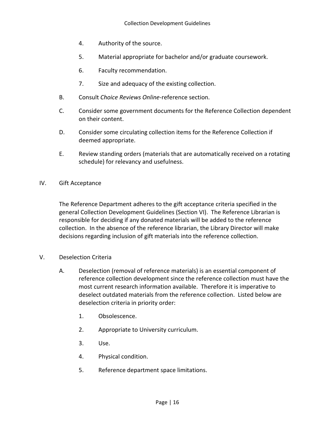- 4. Authority of the source.
- 5. Material appropriate for bachelor and/or graduate coursework.
- 6. Faculty recommendation.
- 7. Size and adequacy of the existing collection.
- B. Consult *Choice Reviews Online*-reference section.
- C. Consider some government documents for the Reference Collection dependent on their content.
- D. Consider some circulating collection items for the Reference Collection if deemed appropriate.
- E. Review standing orders (materials that are automatically received on a rotating schedule) for relevancy and usefulness.
- IV. Gift Acceptance

The Reference Department adheres to the gift acceptance criteria specified in the general Collection Development Guidelines (Section VI). The Reference Librarian is responsible for deciding if any donated materials will be added to the reference collection. In the absence of the reference librarian, the Library Director will make decisions regarding inclusion of gift materials into the reference collection.

- V. Deselection Criteria
	- A. Deselection (removal of reference materials) is an essential component of reference collection development since the reference collection must have the most current research information available. Therefore it is imperative to deselect outdated materials from the reference collection. Listed below are deselection criteria in priority order:
		- 1. Obsolescence.
		- 2. Appropriate to University curriculum.
		- 3. Use.
		- 4. Physical condition.
		- 5. Reference department space limitations.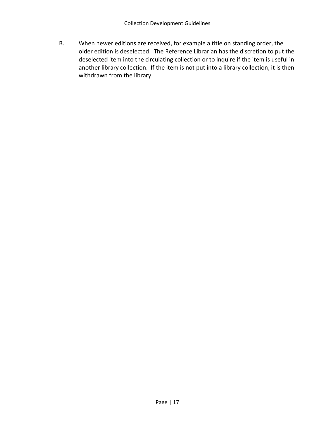B. When newer editions are received, for example a title on standing order, the older edition is deselected. The Reference Librarian has the discretion to put the deselected item into the circulating collection or to inquire if the item is useful in another library collection. If the item is not put into a library collection, it is then withdrawn from the library.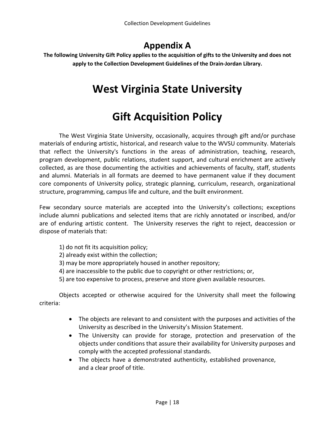### **Appendix A**

**The following University Gift Policy applies to the acquisition of gifts to the University and does not apply to the Collection Development Guidelines of the Drain-Jordan Library.**

# **West Virginia State University**

# **Gift Acquisition Policy**

The West Virginia State University, occasionally, acquires through gift and/or purchase materials of enduring artistic, historical, and research value to the WVSU community. Materials that reflect the University's functions in the areas of administration, teaching, research, program development, public relations, student support, and cultural enrichment are actively collected, as are those documenting the activities and achievements of faculty, staff, students and alumni. Materials in all formats are deemed to have permanent value if they document core components of University policy, strategic planning, curriculum, research, organizational structure, programming, campus life and culture, and the built environment.

Few secondary source materials are accepted into the University's collections; exceptions include alumni publications and selected items that are richly annotated or inscribed, and/or are of enduring artistic content. The University reserves the right to reject, deaccession or dispose of materials that:

- 1) do not fit its acquisition policy;
- 2) already exist within the collection;
- 3) may be more appropriately housed in another repository;
- 4) are inaccessible to the public due to copyright or other restrictions; or,
- 5) are too expensive to process, preserve and store given available resources.

Objects accepted or otherwise acquired for the University shall meet the following criteria:

- The objects are relevant to and consistent with the purposes and activities of the University as described in the University's Mission Statement.
- The University can provide for storage, protection and preservation of the objects under conditions that assure their availability for University purposes and comply with the accepted professional standards.
- The objects have a demonstrated authenticity, established provenance, and a clear proof of title.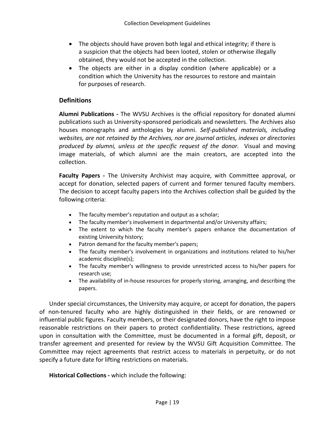- The objects should have proven both legal and ethical integrity; if there is a suspicion that the objects had been looted, stolen or otherwise illegally obtained, they would not be accepted in the collection.
- The objects are either in a display condition (where applicable) or a condition which the University has the resources to restore and maintain for purposes of research.

#### **Definitions**

**Alumni Publications -** The WVSU Archives is the official repository for donated alumni publications such as University-sponsored periodicals and newsletters. The Archives also houses monographs and anthologies by alumni. *Self-published materials, including websites, are not retained by the Archives, nor are journal articles, indexes or directories produced by alumni, unless at the specific request of the donor.* Visual and moving image materials, of which alumni are the main creators, are accepted into the collection.

**Faculty Papers -** The University Archivist may acquire, with Committee approval, or accept for donation, selected papers of current and former tenured faculty members. The decision to accept faculty papers into the Archives collection shall be guided by the following criteria:

- The faculty member's reputation and output as a scholar;
- The faculty member's involvement in departmental and/or University affairs;
- The extent to which the faculty member's papers enhance the documentation of existing University history;
- Patron demand for the faculty member's papers;
- The faculty member's involvement in organizations and institutions related to his/her academic discipline(s);
- The faculty member's willingness to provide unrestricted access to his/her papers for research use;
- The availability of in-house resources for properly storing, arranging, and describing the papers.

Under special circumstances, the University may acquire, or accept for donation, the papers of non-tenured faculty who are highly distinguished in their fields, or are renowned or influential public figures. Faculty members, or their designated donors, have the right to impose reasonable restrictions on their papers to protect confidentiality. These restrictions, agreed upon in consultation with the Committee, must be documented in a formal gift, deposit, or transfer agreement and presented for review by the WVSU Gift Acquisition Committee. The Committee may reject agreements that restrict access to materials in perpetuity, or do not specify a future date for lifting restrictions on materials.

**Historical Collections -** which include the following: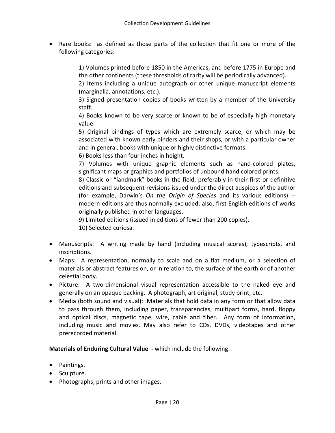• Rare books: as defined as those parts of the collection that fit one or more of the following categories:

> 1) Volumes printed before 1850 in the Americas, and before 1775 in Europe and the other continents (these thresholds of rarity will be periodically advanced).

> 2) Items including a unique autograph or other unique manuscript elements (marginalia, annotations, etc.).

> 3) Signed presentation copies of books written by a member of the University staff.

> 4) Books known to be very scarce or known to be of especially high monetary value.

> 5) Original bindings of types which are extremely scarce, or which may be associated with known early binders and their shops, or with a particular owner and in general, books with unique or highly distinctive formats.

6) Books less than four inches in height.

7) Volumes with unique graphic elements such as hand-colored plates, significant maps or graphics and portfolios of unbound hand colored prints.

8) Classic or "landmark" books in the field, preferably in their first or definitive editions and subsequent revisions issued under the direct auspices of the author (for example, Darwin's *On the Origin of Species* and its various editions) - modern editions are thus normally excluded; also, first English editions of works originally published in other languages.

9) Limited editions (issued in editions of fewer than 200 copies).

10) Selected curiosa.

- Manuscripts: A writing made by hand (including musical scores), typescripts, and inscriptions.
- Maps: A representation, normally to scale and on a flat medium, or a selection of materials or abstract features on, or in relation to, the surface of the earth or of another celestial body.
- Picture: A two-dimensional visual representation accessible to the naked eye and generally on an opaque backing. A photograph, art original, study print, etc.
- Media (both sound and visual): Materials that hold data in any form or that allow data to pass through them, including paper, transparencies, multipart forms, hard, floppy and optical discs, magnetic tape, wire, cable and fiber. Any form of information, including music and movies. May also refer to CDs, DVDs, videotapes and other prerecorded material.

**Materials of Enduring Cultural Value -** which include the following:

- Paintings.
- Sculpture.
- Photographs, prints and other images.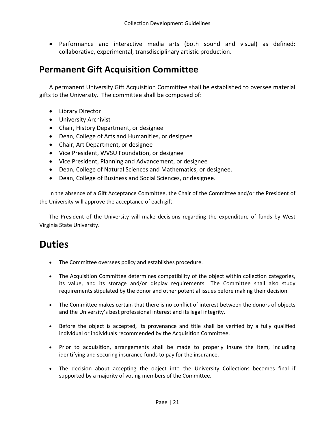• Performance and interactive media arts (both sound and visual) as defined: collaborative, experimental, transdisciplinary artistic production.

### **Permanent Gift Acquisition Committee**

A permanent University Gift Acquisition Committee shall be established to oversee material gifts to the University. The committee shall be composed of:

- Library Director
- University Archivist
- Chair, History Department, or designee
- Dean, College of Arts and Humanities, or designee
- Chair, Art Department, or designee
- Vice President, WVSU Foundation, or designee
- Vice President, Planning and Advancement, or designee
- Dean, College of Natural Sciences and Mathematics, or designee.
- Dean, College of Business and Social Sciences, or designee.

In the absence of a Gift Acceptance Committee, the Chair of the Committee and/or the President of the University will approve the acceptance of each gift.

The President of the University will make decisions regarding the expenditure of funds by West Virginia State University.

## **Duties**

- The Committee oversees policy and establishes procedure.
- The Acquisition Committee determines compatibility of the object within collection categories, its value, and its storage and/or display requirements. The Committee shall also study requirements stipulated by the donor and other potential issues before making their decision.
- The Committee makes certain that there is no conflict of interest between the donors of objects and the University's best professional interest and its legal integrity.
- Before the object is accepted, its provenance and title shall be verified by a fully qualified individual or individuals recommended by the Acquisition Committee.
- Prior to acquisition, arrangements shall be made to properly insure the item, including identifying and securing insurance funds to pay for the insurance.
- The decision about accepting the object into the University Collections becomes final if supported by a majority of voting members of the Committee.